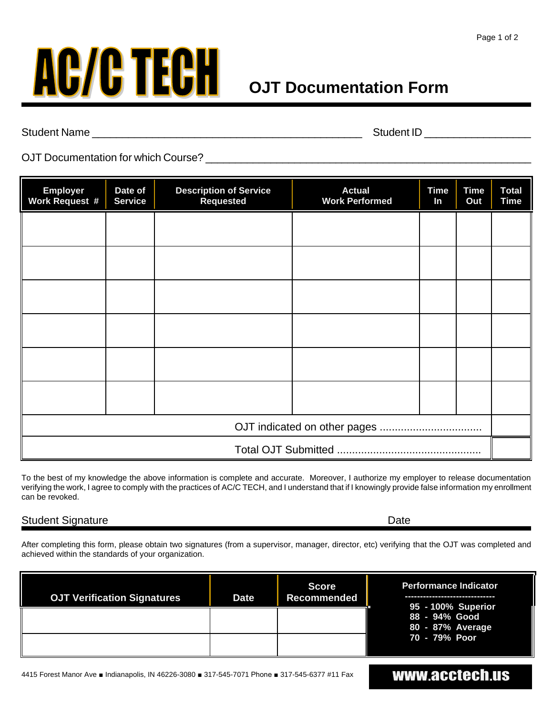

Student Name \_\_\_\_\_\_\_\_\_\_\_\_\_\_\_\_\_\_\_\_\_\_\_\_\_\_\_\_\_\_\_\_\_\_\_\_\_\_\_\_\_\_\_\_\_ Student ID \_\_\_\_\_\_\_\_\_\_\_\_\_\_\_\_\_\_

OJT Documentation for which Course? \_\_\_\_\_\_\_\_\_\_\_\_\_\_\_\_\_\_\_\_\_\_\_\_\_\_\_\_\_\_\_\_\_\_\_\_\_\_\_\_\_\_\_\_\_\_\_\_\_\_\_\_\_\_\_

| <b>Employer</b><br><b>Work Request #</b> | Date of<br><b>Service</b> | <b>Description of Service</b><br><b>Requested</b> | <b>Actual</b><br><b>Work Performed</b> | <b>Time</b><br>In | <b>Time</b><br>Out | <b>Total</b><br><b>Time</b> |
|------------------------------------------|---------------------------|---------------------------------------------------|----------------------------------------|-------------------|--------------------|-----------------------------|
|                                          |                           |                                                   |                                        |                   |                    |                             |
|                                          |                           |                                                   |                                        |                   |                    |                             |
|                                          |                           |                                                   |                                        |                   |                    |                             |
|                                          |                           |                                                   |                                        |                   |                    |                             |
|                                          |                           |                                                   |                                        |                   |                    |                             |
|                                          |                           |                                                   |                                        |                   |                    |                             |
|                                          |                           |                                                   |                                        |                   |                    |                             |
|                                          |                           |                                                   |                                        |                   |                    |                             |

To the best of my knowledge the above information is complete and accurate. Moreover, I authorize my employer to release documentation verifying the work, I agree to comply with the practices of AC/C TECH, and I understand that if I knowingly provide false information my enrollment can be revoked.

#### Student Signature Date Date Communications and Date Date Date

After completing this form, please obtain two signatures (from a supervisor, manager, director, etc) verifying that the OJT was completed and achieved within the standards of your organization.

| <b>OJT Verification Signatures</b> | <b>Date</b> | <b>Score</b><br>Recommended | <b>Performance Indicator</b><br>95 - 100% Superior |  |  |
|------------------------------------|-------------|-----------------------------|----------------------------------------------------|--|--|
|                                    |             |                             | 88 - 94% Good<br>80 - 87% Average                  |  |  |
|                                    |             |                             | 70 - 79% Poor                                      |  |  |

## www.acctech.us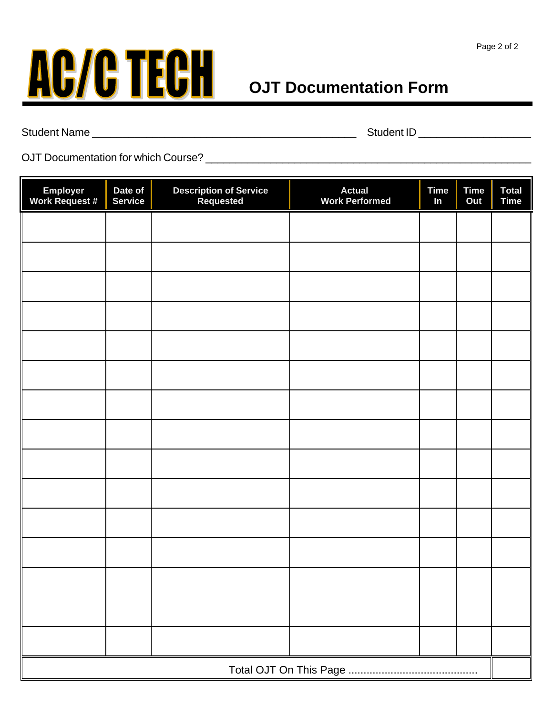

Student Name \_\_\_\_\_\_\_\_\_\_\_\_\_\_\_\_\_\_\_\_\_\_\_\_\_\_\_\_\_\_\_\_\_\_\_\_\_\_\_\_\_\_\_\_ Student ID \_\_\_\_\_\_\_\_\_\_\_\_\_\_\_\_\_\_\_

OJT Documentation for which Course? \_\_\_\_\_\_\_\_\_\_\_\_\_\_\_\_\_\_\_\_\_\_\_\_\_\_\_\_\_\_\_\_\_\_\_\_\_\_\_\_\_\_\_\_\_\_\_\_\_\_\_\_\_\_\_

| Employer<br>Work Request # | Date of<br><b>Service</b> | <b>Description of Service<br/>Requested</b> | <b>Actual</b><br><b>Work Performed</b> | <b>Time</b><br>In | <b>Time</b><br>Out | <b>Total</b><br><b>Time</b> |  |  |
|----------------------------|---------------------------|---------------------------------------------|----------------------------------------|-------------------|--------------------|-----------------------------|--|--|
|                            |                           |                                             |                                        |                   |                    |                             |  |  |
|                            |                           |                                             |                                        |                   |                    |                             |  |  |
|                            |                           |                                             |                                        |                   |                    |                             |  |  |
|                            |                           |                                             |                                        |                   |                    |                             |  |  |
|                            |                           |                                             |                                        |                   |                    |                             |  |  |
|                            |                           |                                             |                                        |                   |                    |                             |  |  |
|                            |                           |                                             |                                        |                   |                    |                             |  |  |
|                            |                           |                                             |                                        |                   |                    |                             |  |  |
|                            |                           |                                             |                                        |                   |                    |                             |  |  |
|                            |                           |                                             |                                        |                   |                    |                             |  |  |
|                            |                           |                                             |                                        |                   |                    |                             |  |  |
|                            |                           |                                             |                                        |                   |                    |                             |  |  |
|                            |                           |                                             |                                        |                   |                    |                             |  |  |
|                            |                           |                                             |                                        |                   |                    |                             |  |  |
|                            |                           |                                             |                                        |                   |                    |                             |  |  |
| Total OJT On This Page     |                           |                                             |                                        |                   |                    |                             |  |  |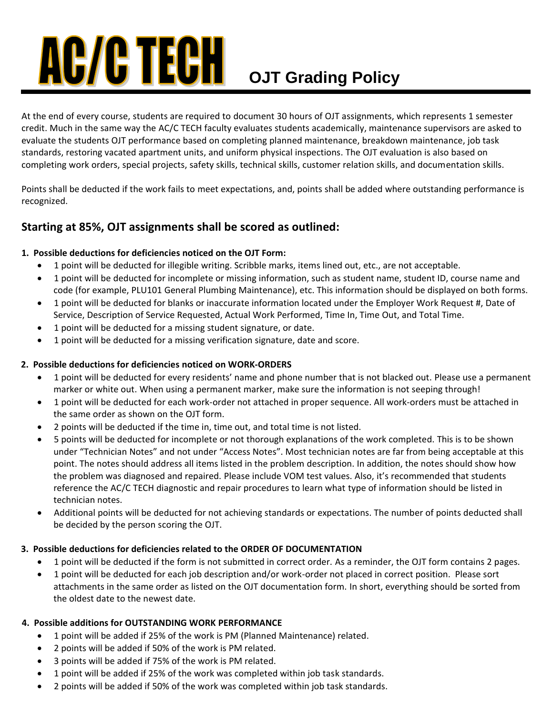# **AC/C TECH OJT Grading Policy**

At the end of every course, students are required to document 30 hours of OJT assignments, which represents 1 semester credit. Much in the same way the AC/C TECH faculty evaluates students academically, maintenance supervisors are asked to evaluate the students OJT performance based on completing planned maintenance, breakdown maintenance, job task standards, restoring vacated apartment units, and uniform physical inspections. The OJT evaluation is also based on completing work orders, special projects, safety skills, technical skills, customer relation skills, and documentation skills.

Points shall be deducted if the work fails to meet expectations, and, points shall be added where outstanding performance is recognized.

### **Starting at 85%, OJT assignments shall be scored as outlined:**

#### **1. Possible deductions for deficiencies noticed on the OJT Form:**

- 1 point will be deducted for illegible writing. Scribble marks, items lined out, etc., are not acceptable.
- 1 point will be deducted for incomplete or missing information, such as student name, student ID, course name and code (for example, PLU101 General Plumbing Maintenance), etc. This information should be displayed on both forms.
- 1 point will be deducted for blanks or inaccurate information located under the Employer Work Request #, Date of Service, Description of Service Requested, Actual Work Performed, Time In, Time Out, and Total Time.
- 1 point will be deducted for a missing student signature, or date.
- 1 point will be deducted for a missing verification signature, date and score.

#### **2. Possible deductions for deficiencies noticed on WORK-ORDERS**

- 1 point will be deducted for every residents' name and phone number that is not blacked out. Please use a permanent marker or white out. When using a permanent marker, make sure the information is not seeping through!
- 1 point will be deducted for each work-order not attached in proper sequence. All work-orders must be attached in the same order as shown on the OJT form.
- 2 points will be deducted if the time in, time out, and total time is not listed.
- 5 points will be deducted for incomplete or not thorough explanations of the work completed. This is to be shown under "Technician Notes" and not under "Access Notes". Most technician notes are far from being acceptable at this point. The notes should address all items listed in the problem description. In addition, the notes should show how the problem was diagnosed and repaired. Please include VOM test values. Also, it's recommended that students reference the AC/C TECH diagnostic and repair procedures to learn what type of information should be listed in technician notes.
- Additional points will be deducted for not achieving standards or expectations. The number of points deducted shall be decided by the person scoring the OJT.

#### **3. Possible deductions for deficiencies related to the ORDER OF DOCUMENTATION**

- 1 point will be deducted if the form is not submitted in correct order. As a reminder, the OJT form contains 2 pages.
- 1 point will be deducted for each job description and/or work-order not placed in correct position. Please sort attachments in the same order as listed on the OJT documentation form. In short, everything should be sorted from the oldest date to the newest date.

#### **4. Possible additions for OUTSTANDING WORK PERFORMANCE**

- 1 point will be added if 25% of the work is PM (Planned Maintenance) related.
- 2 points will be added if 50% of the work is PM related.
- 3 points will be added if 75% of the work is PM related.
- 1 point will be added if 25% of the work was completed within job task standards.
- 2 points will be added if 50% of the work was completed within job task standards.